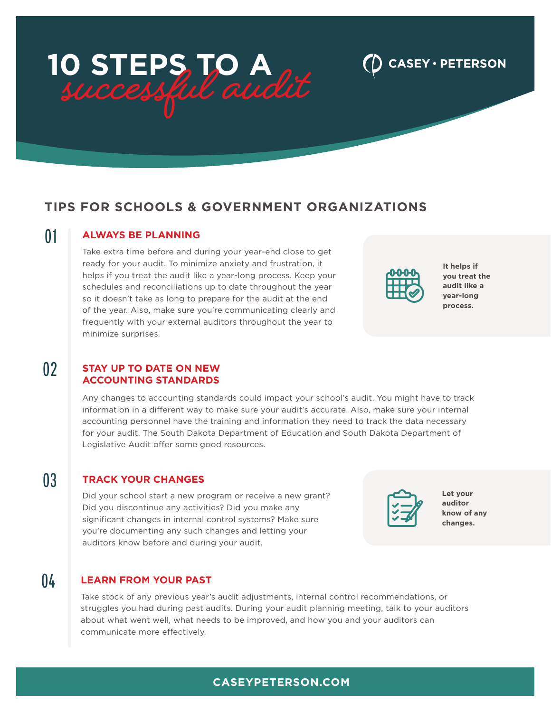# **10 STEPS TO A**

# **TIPS FOR SCHOOLS & GOVERNMENT ORGANIZATIONS**

### 01 **ALWAYS BE PLANNING**

Take extra time before and during your year-end close to get ready for your audit. To minimize anxiety and frustration, it helps if you treat the audit like a year-long process. Keep your schedules and reconciliations up to date throughout the year so it doesn't take as long to prepare for the audit at the end of the year. Also, make sure you're communicating clearly and frequently with your external auditors throughout the year to minimize surprises.

**It helps if you treat the audit like a year-long process.**

CASEY · PETERSON

#### 02 **STAY UP TO DATE ON NEW ACCOUNTING STANDARDS**

Any changes to accounting standards could impact your school's audit. You might have to track information in a different way to make sure your audit's accurate. Also, make sure your internal accounting personnel have the training and information they need to track the data necessary for your audit. The South Dakota Department of Education and South Dakota Department of Legislative Audit offer some good resources.

### 03 **TRACK YOUR CHANGES**

Did your school start a new program or receive a new grant? Did you discontinue any activities? Did you make any significant changes in internal control systems? Make sure you're documenting any such changes and letting your auditors know before and during your audit.

## 04 **LEARN FROM YOUR PAST**

Take stock of any previous year's audit adjustments, internal control recommendations, or struggles you had during past audits. During your audit planning meeting, talk to your auditors about what went well, what needs to be improved, and how you and your auditors can communicate more effectively.



| Let your    |
|-------------|
| auditor     |
| know of any |
| changes.    |